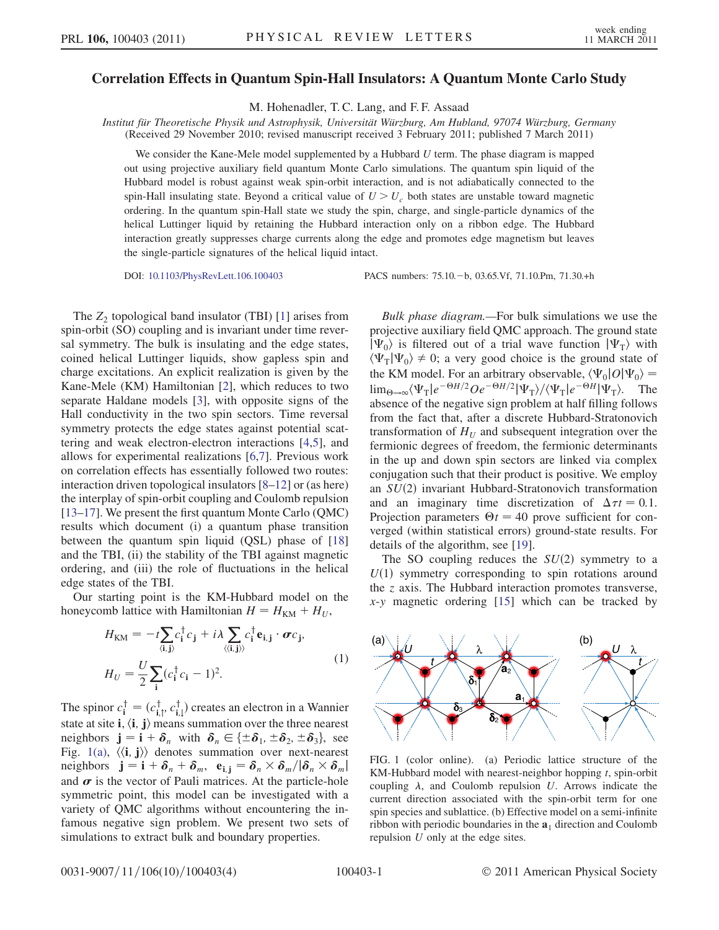## Correlation Effects in Quantum Spin-Hall Insulators: A Quantum Monte Carlo Study

M. Hohenadler, T. C. Lang, and F. F. Assaad

Institut für Theoretische Physik und Astrophysik, Universität Würzburg, Am Hubland, 97074 Würzburg, Germany (Received 29 November 2010; revised manuscript received 3 February 2011; published 7 March 2011)

We consider the Kane-Mele model supplemented by a Hubbard  $U$  term. The phase diagram is mapped out using projective auxiliary field quantum Monte Carlo simulations. The quantum spin liquid of the Hubbard model is robust against weak spin-orbit interaction, and is not adiabatically connected to the spin-Hall insulating state. Beyond a critical value of  $U > U_c$  both states are unstable toward magnetic ordering. In the quantum spin-Hall state we study the spin, charge, and single-particle dynamics of the helical Luttinger liquid by retaining the Hubbard interaction only on a ribbon edge. The Hubbard interaction greatly suppresses charge currents along the edge and promotes edge magnetism but leaves the single-particle signatures of the helical liquid intact.

DOI: [10.1103/PhysRevLett.106.100403](http://dx.doi.org/10.1103/PhysRevLett.106.100403) PACS numbers: 75.10. - b, 03.65.Vf, 71.10.Pm, 71.30.+h

The  $Z_2$  topological band insulator (TBI) [\[1\]](#page-3-0) arises from spin-orbit (SO) coupling and is invariant under time reversal symmetry. The bulk is insulating and the edge states, coined helical Luttinger liquids, show gapless spin and charge excitations. An explicit realization is given by the Kane-Mele (KM) Hamiltonian [[2\]](#page-3-1), which reduces to two separate Haldane models [[3\]](#page-3-2), with opposite signs of the Hall conductivity in the two spin sectors. Time reversal symmetry protects the edge states against potential scattering and weak electron-electron interactions [[4](#page-3-3)[,5\]](#page-3-4), and allows for experimental realizations [[6,](#page-3-5)[7\]](#page-3-6). Previous work on correlation effects has essentially followed two routes: interaction driven topological insulators [[8–](#page-3-7)[12\]](#page-3-8) or (as here) the interplay of spin-orbit coupling and Coulomb repulsion [\[13–](#page-3-9)[17\]](#page-3-10). We present the first quantum Monte Carlo (QMC) results which document (i) a quantum phase transition between the quantum spin liquid (QSL) phase of [\[18\]](#page-3-11) and the TBI, (ii) the stability of the TBI against magnetic ordering, and (iii) the role of fluctuations in the helical edge states of the TBI.

<span id="page-0-1"></span>Our starting point is the KM-Hubbard model on the honeycomb lattice with Hamiltonian  $H = H_{\text{KM}} + H_U$ ,

$$
H_{\text{KM}} = -t \sum_{\langle i,j \rangle} c_i^{\dagger} c_j + i \lambda \sum_{\langle \langle i,j \rangle \rangle} c_i^{\dagger} \mathbf{e}_{i,j} \cdot \boldsymbol{\sigma} c_j,
$$
  

$$
H_U = \frac{U}{2} \sum_{i} (c_i^{\dagger} c_i - 1)^2.
$$
 (1)

The spinor  $c_1^{\dagger} = (c_{1,1}^{\dagger}, c_{1,1}^{\dagger})$  creates an electron in a Wannier<br>state at site i. (i) i) means summation over the three negates state at site i,  $\langle i, j \rangle$  means summation over the three nearest neighbors  $\mathbf{j} = \mathbf{i} + \delta_n$  with  $\delta_n \in {\pm \delta_1, \pm \delta_2, \pm \delta_3}$ , see<br>Fig. 1(a)  $\langle \mathbf{i}, \mathbf{j} \rangle$  denotes summation over next-nearest Fig. [1\(a\)](#page-0-0),  $\langle \langle \mathbf{i}, \mathbf{j} \rangle \rangle$  denotes summation over next-nearest neighbors  $\mathbf{j} = \mathbf{i} + \delta_n + \delta_m$ ,  $\mathbf{e}_{\mathbf{i}, \mathbf{j}} = \delta_n \times \delta_m / |\delta_n \times \delta_m|$ and  $\sigma$  is the vector of Pauli matrices. At the particle-hole symmetric point, this model can be investigated with a variety of QMC algorithms without encountering the infamous negative sign problem. We present two sets of simulations to extract bulk and boundary properties.

Bulk phase diagram.—For bulk simulations we use the projective auxiliary field QMC approach. The ground state  $|\Psi_0\rangle$  is filtered out of a trial wave function  $|\Psi_\text{T}\rangle$  with  $\langle \Psi_{\rm T} | \Psi_0 \rangle \neq 0$ ; a very good choice is the ground state of the KM model. For an arbitrary observable,  $\langle \Psi_0 | O | \Psi_0 \rangle$  =  $\lim_{\Theta \to \infty} \langle \Psi_{\text{T}} | e^{-\Theta H/2} O e^{-\Theta H/2} | \Psi_{\text{T}} \rangle / \langle \Psi_{\text{T}} | e^{-\Theta H} | \Psi_{\text{T}} \rangle$ . The absence of the negative sign problem at half filling follows absence of the negative sign problem at half filling follows from the fact that, after a discrete Hubbard-Stratonovich transformation of  $H_U$  and subsequent integration over the fermionic degrees of freedom, the fermionic determinants in the up and down spin sectors are linked via complex conjugation such that their product is positive. We employ an  $SU(2)$  invariant Hubbard-Stratonovich transformation and an imaginary time discretization of  $\Delta \tau t = 0.1$ .<br>Projection parameters  $\Theta t = 40$  prove sufficient for con-Projection parameters  $\Theta t = 40$  prove sufficient for con-<br>verged (within statistical errors) ground-state results. For verged (within statistical errors) ground-state results. For details of the algorithm, see [\[19\]](#page-3-12).

The SO coupling reduces the  $SU(2)$  symmetry to a  $U(1)$  symmetry corresponding to spin rotations around the z axis. The Hubbard interaction promotes transverse,  $x-y$  magnetic ordering  $[15]$  which can be tracked by



<span id="page-0-0"></span>FIG. 1 (color online). (a) Periodic lattice structure of the KM-Hubbard model with nearest-neighbor hopping  $t$ , spin-orbit coupling  $\lambda$ , and Coulomb repulsion  $U$ . Arrows indicate the current direction associated with the spin-orbit term for one spin species and sublattice. (b) Effective model on a semi-infinite ribbon with periodic boundaries in the  $a_1$  direction and Coulomb repulsion U only at the edge sites.

0031-9007=11=106(10)=100403(4) 100403-1 2011 American Physical Society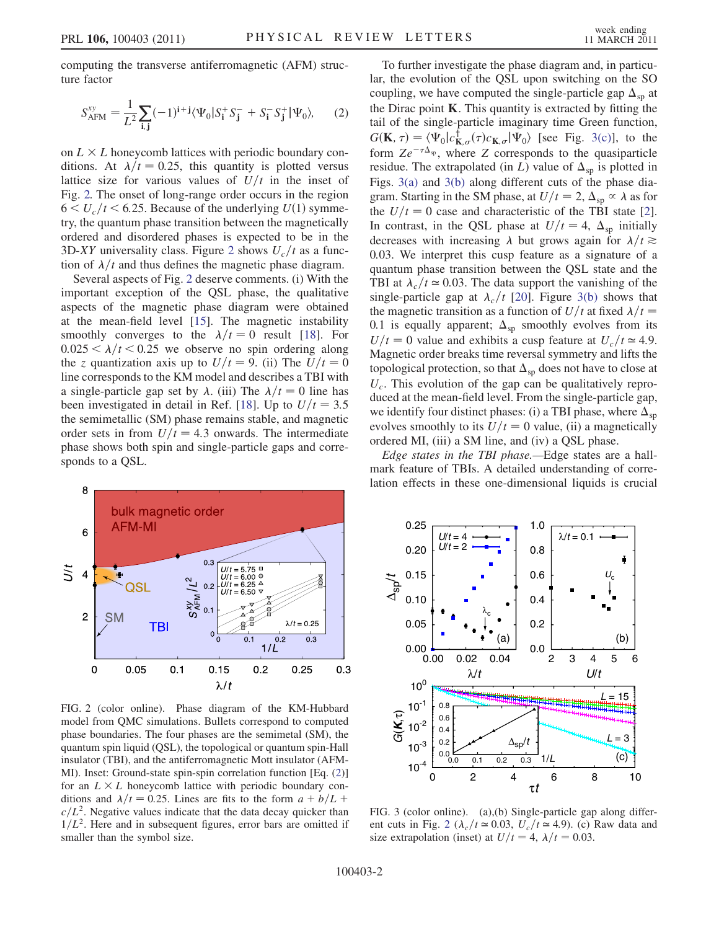<span id="page-1-2"></span>computing the transverse antiferromagnetic (AFM) structure factor

$$
S_{\text{AFM}}^{\text{xy}} = \frac{1}{L^2} \sum_{\mathbf{i}, \mathbf{j}} (-1)^{\mathbf{i} + \mathbf{j}} \langle \Psi_0 | S_{\mathbf{i}}^+ S_{\mathbf{j}}^- + S_{\mathbf{i}}^- S_{\mathbf{j}}^+ | \Psi_0 \rangle, \tag{2}
$$

on  $L \times L$  honeycomb lattices with periodic boundary conditions. At  $\lambda/t = 0.25$ , this quantity is plotted versus lattice size for various values of  $U/t$  in the inset of Fig. [2.](#page-1-0) The onset of long-range order occurs in the region  $6 \lt U_c/t \lt 6.25$ . Because of the underlying  $U(1)$  symmetry, the quantum phase transition between the magnetically ordered and disordered phases is expected to be in the 3D-XY universality class. Figure [2](#page-1-0) shows  $U_c/t$  as a function of  $\lambda/t$  and thus defines the magnetic phase diagram.

Several aspects of Fig. [2](#page-1-0) deserve comments. (i) With the important exception of the QSL phase, the qualitative aspects of the magnetic phase diagram were obtained at the mean-field level [\[15\]](#page-3-13). The magnetic instability smoothly converges to the  $\lambda/t = 0$  result [[18](#page-3-11)]. For  $0.025 < \lambda/t < 0.25$  we observe no spin ordering along the z quantization axis up to  $U/t = 9$ . (ii) The  $U/t = 0$ line corresponds to the KM model and describes a TBI with a single-particle gap set by  $\lambda$ . (iii) The  $\lambda/t = 0$  line has been investigated in detail in Ref. [[18](#page-3-11)]. Up to  $U/t = 3.5$ the semimetallic (SM) phase remains stable, and magnetic order sets in from  $U/t = 4.3$  onwards. The intermediate phase shows both spin and single-particle gaps and corresponds to a QSL.

To further investigate the phase diagram and, in particular, the evolution of the QSL upon switching on the SO coupling, we have computed the single-particle gap  $\Delta_{\rm SD}$  at the Dirac point K. This quantity is extracted by fitting the tail of the single-particle imaginary time Green function,  $G(\mathbf{K}, \tau) = \langle \Psi_0 | c_{\mathbf{K}, \sigma}^{\dagger}(\tau) c_{\mathbf{K}, \sigma} | \Psi_0 \rangle$  [see Fig. [3\(c\)\]](#page-1-1), to the form  $Ze^{-\tau \Delta_{\text{sp}}}$ , where Z corresponds to the quasiparticle residue. The extrapolated (in L) value of  $\Delta_{\text{sp}}$  is plotted in Figs. [3\(a\)](#page-1-1) and [3\(b\)](#page-1-1) along different cuts of the phase diagram. Starting in the SM phase, at  $U/t = 2$ ,  $\Delta_{\rm SD} \propto \lambda$  as for the  $U/t = 0$  case and characteristic of the TBI state [[2\]](#page-3-1). In contrast, in the QSL phase at  $U/t = 4$ ,  $\Delta_{\text{sp}}$  initially decreases with increasing  $\lambda$  but grows again for  $\lambda/t \ge$ 0:03. We interpret this cusp feature as a signature of a quantum phase transition between the QSL state and the TBI at  $\lambda_c / t \approx 0.03$ . The data support the vanishing of the single-particle gap at  $\lambda_c/t$  [[20](#page-3-14)]. Figure [3\(b\)](#page-1-1) shows that the magnetic transition as a function of  $U/t$  at fixed  $\lambda/t =$ 0.1 is equally apparent;  $\Delta_{\text{sp}}$  smoothly evolves from its  $U/t=0$  value and exhibits a cusp feature at  $U_c/t \approx 4.9$ . Magnetic order breaks time reversal symmetry and lifts the topological protection, so that  $\Delta_{\text{sp}}$  does not have to close at  $U_c$ . This evolution of the gap can be qualitatively reproduced at the mean-field level. From the single-particle gap, we identify four distinct phases: (i) a TBI phase, where  $\Delta_{\text{sp}}$ evolves smoothly to its  $U/t = 0$  value, (ii) a magnetically ordered MI, (iii) a SM line, and (iv) a QSL phase.

Edge states in the TBI phase.—Edge states are a hallmark feature of TBIs. A detailed understanding of correlation effects in these one-dimensional liquids is crucial

<span id="page-1-0"></span>

FIG. 2 (color online). Phase diagram of the KM-Hubbard model from QMC simulations. Bullets correspond to computed phase boundaries. The four phases are the semimetal (SM), the quantum spin liquid (QSL), the topological or quantum spin-Hall insulator (TBI), and the antiferromagnetic Mott insulator (AFM-MI). Inset: Ground-state spin-spin correlation function [Eq. ([2\)](#page-1-2)] for an  $L \times L$  honeycomb lattice with periodic boundary conditions and  $\lambda/t = 0.25$ . Lines are fits to the form  $a + b/L$  +  $c/L^2$ . Negative values indicate that the data decay quicker than  $1/L<sup>2</sup>$ . Here and in subsequent figures, error bars are omitted if smaller than the symbol size.



<span id="page-1-1"></span>FIG. 3 (color online). (a),(b) Single-particle gap along differ-ent cuts in Fig. [2](#page-1-0) ( $\lambda_c/t \approx 0.03$ ,  $U_c/t \approx 4.9$ ). (c) Raw data and size extrapolation (inset) at  $U/t = 4$ ,  $\lambda/t = 0.03$ .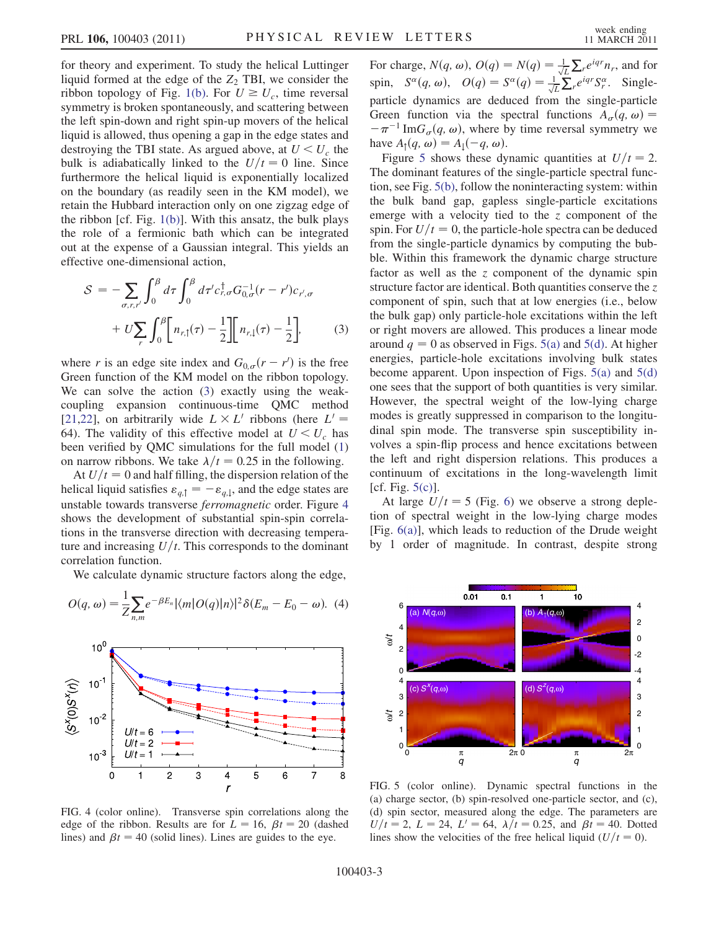for theory and experiment. To study the helical Luttinger liquid formed at the edge of the  $Z_2$  TBI, we consider the ribbon topology of Fig. [1\(b\)](#page-0-0). For  $U \ge U_c$ , time reversal symmetry is broken spontaneously, and scattering between the left spin-down and right spin-up movers of the helical liquid is allowed, thus opening a gap in the edge states and destroying the TBI state. As argued above, at  $U \leq U_c$  the bulk is adiabatically linked to the  $U/t=0$  line. Since furthermore the helical liquid is exponentially localized on the boundary (as readily seen in the KM model), we retain the Hubbard interaction only on one zigzag edge of the ribbon  $[cf. Fig. 1(b)]$  $[cf. Fig. 1(b)]$  $[cf. Fig. 1(b)]$ . With this ansatz, the bulk plays the role of a fermionic bath which can be integrated out at the expense of a Gaussian integral. This yields an effective one-dimensional action,

<span id="page-2-0"></span>
$$
S = -\sum_{\sigma,r,r'} \int_0^\beta d\tau \int_0^\beta d\tau' c_{r,\sigma}^\dagger G_{0,\sigma}^{-1}(r - r') c_{r',\sigma} + U \sum_r \int_0^\beta \left[ n_{r,\uparrow}(\tau) - \frac{1}{2} \right] \left[ n_{r,\downarrow}(\tau) - \frac{1}{2} \right],
$$
 (3)

where r is an edge site index and  $G_{0,\sigma}(r - r')$  is the free<br>Green function of the KM model on the ribbon topology Green function of the KM model on the ribbon topology. We can solve the action ([3\)](#page-2-0) exactly using the weakcoupling expansion continuous-time QMC method [\[21](#page-3-15)[,22\]](#page-3-16), on arbitrarily wide  $L \times L'$  ribbons (here  $L' =$ 64). The validity of this effective model at  $U < U_c$  has been verified by QMC simulations for the full model [\(1\)](#page-0-1) on narrow ribbons. We take  $\lambda/t = 0.25$  in the following.

At  $U/t=0$  and half filling, the dispersion relation of the helical liquid satisfies  $\varepsilon_{q, \uparrow} = -\varepsilon_{q, \downarrow}$ , and the edge states are unstable towards transverse ferromagnetic order. Figure [4](#page-2-1) shows the development of substantial spin-spin correlations in the transverse direction with decreasing temperature and increasing  $U/t$ . This corresponds to the dominant correlation function.

<span id="page-2-4"></span>We calculate dynamic structure factors along the edge,

$$
O(q,\omega) = \frac{1}{Z} \sum_{n,m} e^{-\beta E_n} |\langle m| O(q) |n \rangle|^2 \delta(E_m - E_0 - \omega). \tag{4}
$$

<span id="page-2-1"></span>

FIG. 4 (color online). Transverse spin correlations along the edge of the ribbon. Results are for  $L = 16$ ,  $\beta t = 20$  (dashed lines) and  $\beta t = 40$  (solid lines). Lines are guides to the eye.

For charge,  $N(q, \omega)$ ,  $O(q) = N(q) = \frac{1}{\sqrt{L}} \sum_{i} e^{iqr} n_i$ , and for spin,  $S^{\alpha}(q, \omega)$ ,  $O(q) = S^{\alpha}(q) = \frac{1}{\sqrt{L}} \sum_{r}^{\infty} e^{iqr} S^{\alpha}_r$ . Singleparticle dynamics are deduced from the single-particle Green function via the spectral functions  $A_{\sigma}(q, \omega) =$  $-\pi^{-1}$  Im $G_{\sigma}(q,\omega)$ , where by time reversal symmetry we have  $A_{\uparrow}(q, \omega) = A_{\downarrow}(-q, \omega)$ .

Figure [5](#page-2-2) shows these dynamic quantities at  $U/t = 2$ . The dominant features of the single-particle spectral function, see Fig. [5\(b\),](#page-2-3) follow the noninteracting system: within the bulk band gap, gapless single-particle excitations emerge with a velocity tied to the  $z$  component of the spin. For  $U/t=0$ , the particle-hole spectra can be deduced from the single-particle dynamics by computing the bubble. Within this framework the dynamic charge structure factor as well as the z component of the dynamic spin structure factor are identical. Both quantities conserve the  $z$ component of spin, such that at low energies (i.e., below the bulk gap) only particle-hole excitations within the left or right movers are allowed. This produces a linear mode around  $q = 0$  as observed in Figs. [5\(a\)](#page-2-3) and [5\(d\).](#page-2-3) At higher energies, particle-hole excitations involving bulk states become apparent. Upon inspection of Figs. [5\(a\)](#page-2-3) and [5\(d\)](#page-2-3) one sees that the support of both quantities is very similar. However, the spectral weight of the low-lying charge modes is greatly suppressed in comparison to the longitudinal spin mode. The transverse spin susceptibility involves a spin-flip process and hence excitations between the left and right dispersion relations. This produces a continuum of excitations in the long-wavelength limit [cf. Fig. [5\(c\)\]](#page-2-3).

At large  $U/t = 5$  (Fig. [6\)](#page-3-17) we observe a strong depletion of spectral weight in the low-lying charge modes [Fig.  $6(a)$ ], which leads to reduction of the Drude weight by 1 order of magnitude. In contrast, despite strong

<span id="page-2-2"></span>

<span id="page-2-3"></span>FIG. 5 (color online). Dynamic spectral functions in the (a) charge sector, (b) spin-resolved one-particle sector, and (c), (d) spin sector, measured along the edge. The parameters are  $U/t = 2$ ,  $L = 24$ ,  $L' = 64$ ,  $\lambda/t = 0.25$ , and  $\beta t = 40$ . Dotted lines show the velocities of the free helical liquid  $(U/t = 0)$ .